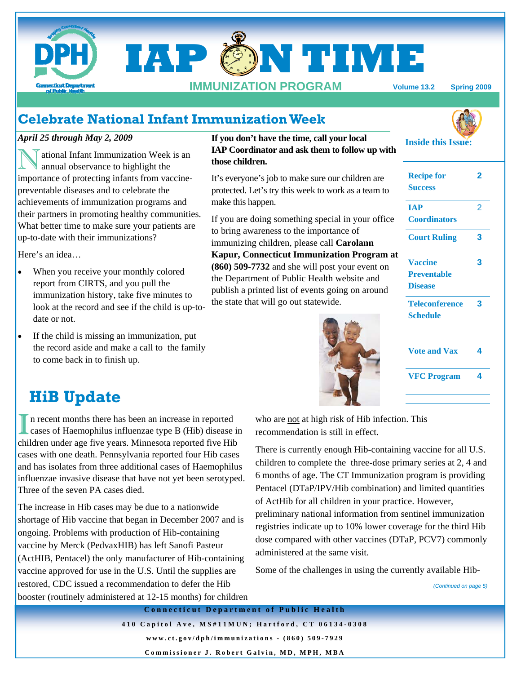

# **Celebrate National Infant Immunization Week**

## *April 25 through May 2, 2009*

ational Infant Immunization Week is an annual observance to highlight the importance of protecting infants from vaccinepreventable diseases and to celebrate the achievements of immunization programs and their partners in promoting healthy communities. What better time to make sure your patients are up-to-date with their immunizations?

Here's an idea…

- When you receive your monthly colored report from CIRTS, and you pull the immunization history, take five minutes to look at the record and see if the child is up-todate or not.
- If the child is missing an immunization, put the record aside and make a call to the family to come back in to finish up.

## **If you don't have the time, call your local IAP Coordinator and ask them to follow up with those children.**

It's everyone's job to make sure our children are protected. Let's try this week to work as a team to make this happen.

If you are doing something special in your office to bring awareness to the importance of immunizing children, please call **Carolann Kapur, Connecticut Immunization Program at (860) 509-7732** and she will post your event on the Department of Public Health website and publish a printed list of events going on around the state that will go out statewide.



| <b>Recipe for</b><br><b>Success</b>                    | 2 |
|--------------------------------------------------------|---|
| <b>IAP</b><br><b>Coordinators</b>                      | 2 |
| <b>Court Ruling</b>                                    | 3 |
| <b>Vaccine</b><br><b>Preventable</b><br><b>Disease</b> | 3 |
| <b>Teleconference</b><br><b>Schedule</b>               | 3 |
| <b>Vote and Vax</b>                                    | 4 |
| <b>VFC Program</b>                                     | 4 |
|                                                        |   |

**Inside this Issue:** 

# **HiB Update**

In recent months there has been an increase in reported cases of Haemophilus influenzae type B (Hib) disease in children under age five years. Minnesota reported five Hib cases with one death. Pennsylvania reported four Hib cases and has isolates from three additional cases of Haemophilus influenzae invasive disease that have not yet been serotyped. Three of the seven PA cases died.

The increase in Hib cases may be due to a nationwide shortage of Hib vaccine that began in December 2007 and is ongoing. Problems with production of Hib-containing vaccine by Merck (PedvaxHIB) has left Sanofi Pasteur (ActHIB, Pentacel) the only manufacturer of Hib-containing vaccine approved for use in the U.S. Until the supplies are restored, CDC issued a recommendation to defer the Hib booster (routinely administered at 12-15 months) for children

who are not at high risk of Hib infection. This recommendation is still in effect.

There is currently enough Hib-containing vaccine for all U.S. children to complete the three-dose primary series at 2, 4 and 6 months of age. The CT Immunization program is providing Pentacel (DTaP/IPV/Hib combination) and limited quantities of ActHib for all children in your practice. However,

preliminary national information from sentinel immunization registries indicate up to 10% lower coverage for the third Hib dose compared with other vaccines (DTaP, PCV7) commonly administered at the same visit.

Some of the challenges in using the currently available Hib-

*(Continued on page 5)* 

**Connecticut Department of Public Health 410 Capitol Ave, MS#11MUN; Hartford, CT 06134-0308 www.ct.gov/dph/immunizations - (860) 509-7929 Commissioner J. Robert Galvin, MD, MPH, MBA**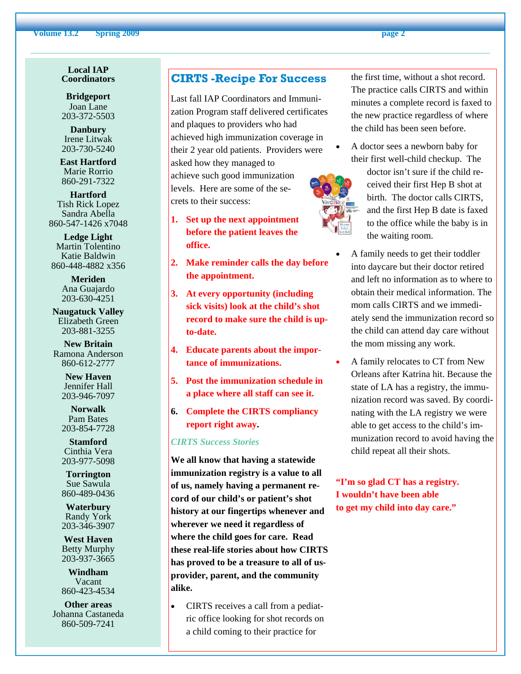#### **Volume 13.2** Spring 2009 **page 2 page 2**

#### **Local IAP Coordinators**

**Bridgeport**  Joan Lane 203-372-5503

**Danbury**  Irene Litwak 203-730-5240

**East Hartford**  Marie Rorrio 860-291-7322

**Hartford**  Tish Rick Lopez Sandra Abella 860-547-1426 x7048

**Ledge Light**  Martin Tolentino Katie Baldwin 860-448-4882 x356

> **Meriden**  Ana Guajardo 203-630-4251

**Naugatuck Valley**  Elizabeth Green 203-881-3255

**New Britain**  Ramona Anderson 860-612-2777

> **New Haven**  Jennifer Hall 203-946-7097

**Norwalk**  Pam Bates 203-854-7728

**Stamford**  Cinthia Vera 203-977-5098

**Torrington**  Sue Sawula 860-489-0436

**Waterbury**  Randy York 203-346-3907

**West Haven**  Betty Murphy 203-937-3665

**Windham**  Vacant 860-423-4534

**Other areas**  Johanna Castaneda 860-509-7241

# **CIRTS -Recipe For Success**

Last fall IAP Coordinators and Immunization Program staff delivered certificates and plaques to providers who had achieved high immunization coverage in their 2 year old patients. Providers were asked how they managed to achieve such good immunization levels. Here are some of the secrets to their success:

- **1. Set up the next appointment before the patient leaves the office.**
- **2. Make reminder calls the day before the appointment.**
- **3. At every opportunity (including sick visits) look at the child's shot record to make sure the child is upto-date.**
- **4. Educate parents about the importance of immunizations.**
- **5. Post the immunization schedule in a place where all staff can see it.**
- **6. Complete the CIRTS compliancy report right away.**

#### *CIRTS Success Stories*

**We all know that having a statewide immunization registry is a value to all of us, namely having a permanent record of our child's or patient's shot history at our fingertips whenever and wherever we need it regardless of where the child goes for care. Read these real-life stories about how CIRTS has proved to be a treasure to all of usprovider, parent, and the community alike.** 

• CIRTS receives a call from a pediatric office looking for shot records on a child coming to their practice for

the first time, without a shot record. The practice calls CIRTS and within minutes a complete record is faxed to the new practice regardless of where the child has been seen before.

• A doctor sees a newborn baby for their first well-child checkup. The



- doctor isn't sure if the child received their first Hep B shot at birth. The doctor calls CIRTS, and the first Hep B date is faxed to the office while the baby is in the waiting room.
- A family needs to get their toddler into daycare but their doctor retired and left no information as to where to obtain their medical information. The mom calls CIRTS and we immediately send the immunization record so the child can attend day care without the mom missing any work.
- A family relocates to CT from New Orleans after Katrina hit. Because the state of LA has a registry, the immunization record was saved. By coordinating with the LA registry we were able to get access to the child's immunization record to avoid having the child repeat all their shots.

**"I'm so glad CT has a registry. I wouldn't have been able to get my child into day care."** 

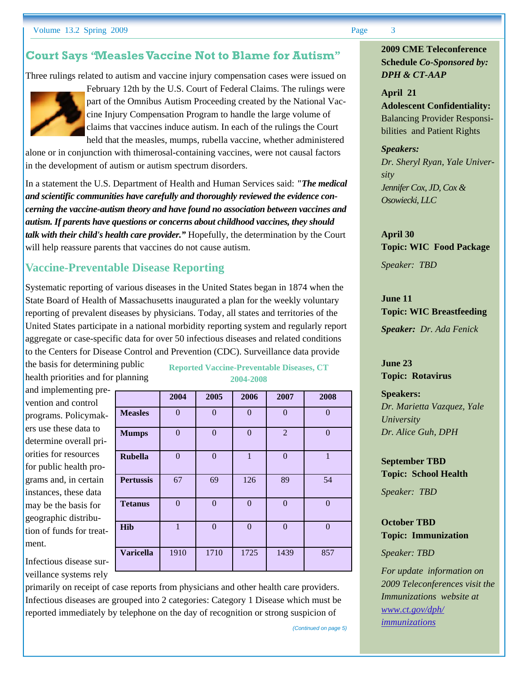# **Court Says "Measles Vaccine Not to Blame for Autism"**

Three rulings related to autism and vaccine injury compensation cases were issued on



February 12th by the U.S. Court of Federal Claims. The rulings were part of the Omnibus Autism Proceeding created by the National Vaccine Injury Compensation Program to handle the large volume of claims that vaccines induce autism. In each of the rulings the Court held that the measles, mumps, rubella vaccine, whether administered

alone or in conjunction with thimerosal-containing vaccines, were not causal factors in the development of autism or autism spectrum disorders.

In a statement the U.S. Department of Health and Human Services said: *"The medical and scientific communities have carefully and thoroughly reviewed the evidence concerning the vaccine-autism theory and have found no association between vaccines and autism. If parents have questions or concerns about childhood vaccines, they should talk with their child's health care provider."* Hopefully, the determination by the Court will help reassure parents that vaccines do not cause autism.

# **Vaccine-Preventable Disease Reporting**

Systematic reporting of various diseases in the United States began in 1874 when the State Board of Health of Massachusetts inaugurated a plan for the weekly voluntary reporting of prevalent diseases by physicians. Today, all states and territories of the United States participate in a national morbidity reporting system and regularly report aggregate or case-specific data for over 50 infectious diseases and related conditions to the Centers for Disease Control and Prevention (CDC). Surveillance data provide

the basis for determining public health priorities and for planning

and implementing prevention and control programs. Policymakers use these data to determine overall priorities for resources for public health programs and, in certain instances, these data may be the basis for geographic distribution of funds for treatment.

Infectious disease surveillance systems rely

### **Reported Vaccine-Preventable Diseases, CT 2004-2008**

|                  | 2004           | 2005           | 2006           | 2007           | 2008           |
|------------------|----------------|----------------|----------------|----------------|----------------|
| <b>Measles</b>   | $\overline{0}$ | $\overline{0}$ | $\overline{0}$ | $\overline{0}$ | $\theta$       |
| <b>Mumps</b>     | $\overline{0}$ | $\overline{0}$ | $\overline{0}$ | $\overline{2}$ | $\Omega$       |
| <b>Rubella</b>   | $\overline{0}$ | $\overline{0}$ | $\mathbf{1}$   | $\overline{0}$ | $\mathbf{1}$   |
| <b>Pertussis</b> | 67             | 69             | 126            | 89             | 54             |
| <b>Tetanus</b>   | $\overline{0}$ | $\overline{0}$ | $\overline{0}$ | $\overline{0}$ | $\overline{0}$ |
| <b>Hib</b>       | $\mathbf{1}$   | $\mathbf{0}$   | $\overline{0}$ | $\overline{0}$ | $\theta$       |
| <b>Varicella</b> | 1910           | 1710           | 1725           | 1439           | 857            |

primarily on receipt of case reports from physicians and other health care providers. Infectious diseases are grouped into 2 categories: Category 1 Disease which must be reported immediately by telephone on the day of recognition or strong suspicion of

**2009 CME Teleconference Schedule** *Co-Sponsored by: DPH & CT-AAP*

#### **April 21**

**Adolescent Confidentiality:**  Balancing Provider Responsibilities and Patient Rights

#### *Speakers:*

*Dr. Sheryl Ryan, Yale University Jennifer Cox, JD, Cox & Osowiecki, LLC* 

**April 30 Topic: WIC Food Package** 

*Speaker: TBD* 

**June 11 Topic: WIC Breastfeeding**  *Speaker: Dr. Ada Fenick* 

**June 23 Topic: Rotavirus** 

**Speakers:**  *Dr. Marietta Vazquez, Yale University Dr. Alice Guh, DPH* 

**September TBD Topic: School Health** 

*Speaker: TBD* 

**October TBD Topic: Immunization** 

*Speaker: TBD* 

*(Continued on page 5)* 

*For update information on 2009 Teleconferences visit the Immunizations website at www.ct.gov/dph/ immunizations*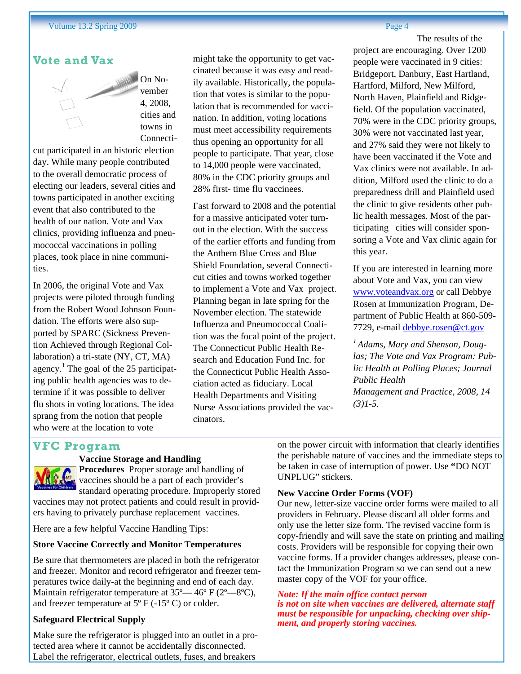# **Vote and Vax**



On November 4, 2008, cities and towns in Connecti-

cut participated in an historic election day. While many people contributed to the overall democratic process of electing our leaders, several cities and towns participated in another exciting event that also contributed to the health of our nation. Vote and Vax clinics, providing influenza and pneumococcal vaccinations in polling places, took place in nine communities.

In 2006, the original Vote and Vax projects were piloted through funding from the Robert Wood Johnson Foundation. The efforts were also supported by SPARC (Sickness Prevention Achieved through Regional Collaboration) a tri-state (NY, CT, MA) agency.<sup>1</sup> The goal of the 25 participating public health agencies was to determine if it was possible to deliver flu shots in voting locations. The idea sprang from the notion that people who were at the location to vote

might take the opportunity to get vaccinated because it was easy and readily available. Historically, the population that votes is similar to the population that is recommended for vaccination. In addition, voting locations must meet accessibility requirements thus opening an opportunity for all people to participate. That year, close to 14,000 people were vaccinated, 80% in the CDC priority groups and 28% first- time flu vaccinees.

Fast forward to 2008 and the potential for a massive anticipated voter turnout in the election. With the success of the earlier efforts and funding from the Anthem Blue Cross and Blue Shield Foundation, several Connecticut cities and towns worked together to implement a Vote and Vax project. Planning began in late spring for the November election. The statewide Influenza and Pneumococcal Coalition was the focal point of the project. The Connecticut Public Health Research and Education Fund Inc. for the Connecticut Public Health Association acted as fiduciary. Local Health Departments and Visiting Nurse Associations provided the vaccinators.

The results of the project are encouraging. Over 1200 people were vaccinated in 9 cities: Bridgeport, Danbury, East Hartland, Hartford, Milford, New Milford, North Haven, Plainfield and Ridgefield. Of the population vaccinated, 70% were in the CDC priority groups, 30% were not vaccinated last year, and 27% said they were not likely to have been vaccinated if the Vote and Vax clinics were not available. In addition, Milford used the clinic to do a preparedness drill and Plainfield used the clinic to give residents other public health messages. Most of the participating cities will consider sponsoring a Vote and Vax clinic again for this year.

If you are interested in learning more about Vote and Vax, you can view www.voteandvax.org or call Debbye Rosen at Immunization Program, Department of Public Health at 860-509- 7729, e-mail debbye.rosen@ct.gov

*1 Adams, Mary and Shenson, Douglas; The Vote and Vax Program: Public Health at Polling Places; Journal Public Health Management and Practice, 2008, 14 (3)1-5.* 

# **VFC Program**

# **Vaccine Storage and Handling**

**Procedures** Proper storage and handling of vaccines should be a part of each provider's standard operating procedure. Improperly stored vaccines may not protect patients and could result in provid-

ers having to privately purchase replacement vaccines.

Here are a few helpful Vaccine Handling Tips:

#### **Store Vaccine Correctly and Monitor Temperatures**

Be sure that thermometers are placed in both the refrigerator and freezer. Monitor and record refrigerator and freezer temperatures twice daily-at the beginning and end of each day. Maintain refrigerator temperature at 35° — 46° F (2° — 8°C), and freezer temperature at  $5^{\circ}$  F (-15° C) or colder.

### **Safeguard Electrical Supply**

Make sure the refrigerator is plugged into an outlet in a protected area where it cannot be accidentally disconnected. Label the refrigerator, electrical outlets, fuses, and breakers

on the power circuit with information that clearly identifies the perishable nature of vaccines and the immediate steps to be taken in case of interruption of power. Use **"**DO NOT UNPLUG" stickers.

#### **New Vaccine Order Forms (VOF)**

Our new, letter-size vaccine order forms were mailed to all providers in February. Please discard all older forms and only use the letter size form. The revised vaccine form is copy-friendly and will save the state on printing and mailing costs. Providers will be responsible for copying their own vaccine forms. If a provider changes addresses, please contact the Immunization Program so we can send out a new master copy of the VOF for your office.

#### *Note: If the main office contact person is not on site when vaccines are delivered, alternate staff must be responsible for unpacking, checking over shipment, and properly storing vaccines.*